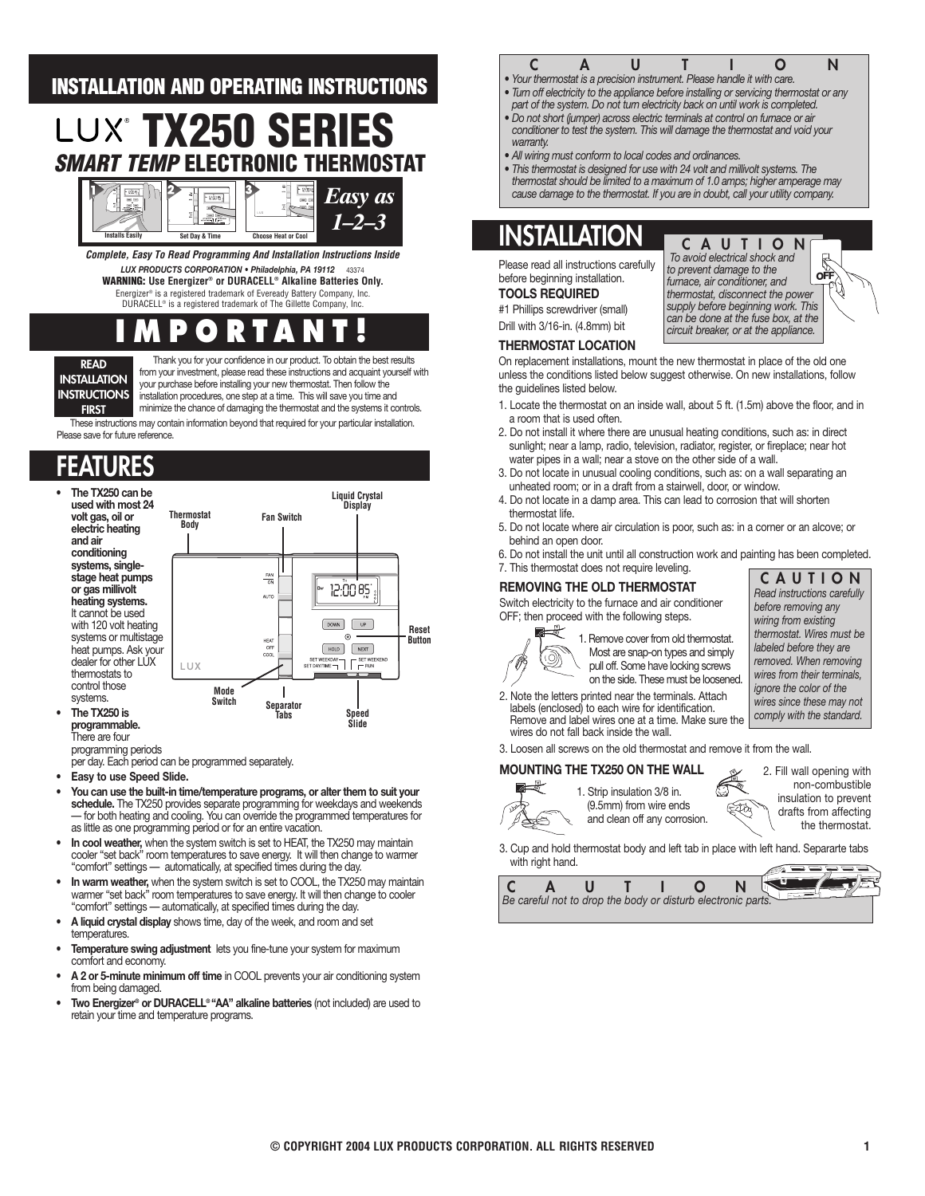### **INSTALLATION AND OPERATING INSTRUCTIONS**

# **TX250 SERIES SMART TEMP EL**



**Complete, Easy To Read Programming And Installation Instructions Inside** *LUX PRODUCTS CORPORATION • Philadelphia, PA 19112* 43374 **WARNING: Use Energizer® or DURACELL® Alkaline Batteries Only.**

Energizer® is a registered trademark of Eveready Battery Company, Inc. DURACELL® is a registered trademark of The Gillette Company, Inc.

## **IMPORTANT!**

**READ INSTALLATION INSTRUCTIONS FIRST**

Thank you for your confidence in our product. To obtain the best results from your investment, please read these instructions and acquaint yourself with your purchase before installing your new thermostat. Then follow the installation procedures, one step at a time. This will save you time and minimize the chance of damaging the thermostat and the systems it controls.

These instructions may contain information beyond that required for your particular installation. Please save for future reference.

### **FEATURES**



per day. Each period can be programmed separately.

- **Easy to use Speed Slide.**
- **You can use the built-in time/temperature programs, or alter them to suit your schedule.** The TX250 provides separate programming for weekdays and weekends — for both heating and cooling. You can override the programmed temperatures for as little as one programming period or for an entire vacation.
- **In cool weather,** when the system switch is set to HEAT, the TX250 may maintain cooler "set back" room temperatures to save energy. It will then change to warmer "comfort" settings — automatically, at specified times during the day.
- **In warm weather,** when the system switch is set to COOL, the TX250 may maintain warmer "set back" room temperatures to save energy. It will then change to cooler "comfort" settings — automatically, at specified times during the day.
- **A liquid crystal display** shows time, day of the week, and room and set temperatures.
- **Temperature swing adjustment** lets you fine-tune your system for maximum comfort and economy.
- **A 2 or 5-minute minimum off time** in COOL prevents your air conditioning system from being damaged.
- **Two Energizer® or DURACELL® "AA" alkaline batteries** (not included) are used to retain your time and temperature programs.

## **C**<br>**•** Your thermostat is a precision instrument. Please handle it with care. **N**

- *Turn off electricity to the appliance before installing or servicing thermostat or any*
- *part of the system. Do not turn electricity back on until work is completed.*
- *Do not short (jumper) across electric terminals at control on furnace or air conditioner to test the system. This will damage the thermostat and void your warranty.*
- *All wiring must conform to local codes and ordinances.*
- *This thermostat is designed for use with 24 volt and millivolt systems. The thermostat should be limited to a maximum of 1.0 amps; higher amperage may cause damage to the thermostat. If you are in doubt, call your utility company.*

### **INSTALLATION**

Please read all instructions carefully before beginning installation.

### **TOOLS REQUIRED**

#1 Phillips screwdriver (small)

Drill with 3/16-in. (4.8mm) bit

#### **THERMOSTAT LOCATION**

On replacement installations, mount the new thermostat in place of the old one unless the conditions listed below suggest otherwise. On new installations, follow *circuit breaker, or at the appliance.*

**CAUTION** *To avoid electrical shock and to prevent damage to the furnace, air conditioner, and thermostat, disconnect the power supply before beginning work. This can be done at the fuse box, at the*

**OFF**

- the guidelines listed below. 1. Locate the thermostat on an inside wall, about 5 ft. (1.5m) above the floor, and in
- a room that is used often.
- 2. Do not install it where there are unusual heating conditions, such as: in direct sunlight; near a lamp, radio, television, radiator, register, or fireplace; near hot water pipes in a wall; near a stove on the other side of a wall.
- 3. Do not locate in unusual cooling conditions, such as: on a wall separating an unheated room; or in a draft from a stairwell, door, or window.
- 4. Do not locate in a damp area. This can lead to corrosion that will shorten thermostat life.
- 5. Do not locate where air circulation is poor, such as: in a corner or an alcove; or behind an open door.
- 6. Do not install the unit until all construction work and painting has been completed.
- 7. This thermostat does not require leveling. **CAUTION**

### **REMOVING THE OLD THERMOSTAT**

Switch electricity to the furnace and air conditioner OFF; then proceed with the following steps.



1. Remove cover from old thermostat. Most are snap-on types and simply pull off. Some have locking screws on the side. These must be loosened.

*Read instructions carefully before removing any wiring from existing thermostat. Wires must be labeled before they are removed. When removing wires from their terminals, ignore the color of the wires since these may not comply with the standard.* 

2. Note the letters printed near the terminals. Attach labels (enclosed) to each wire for identification. Remove and label wires one at a time. Make sure the wires do not fall back inside the wall.

3. Loosen all screws on the old thermostat and remove it from the wall.

#### **MOUNTING THE TX250 ON THE WALL Y**



1. Strip insulation 3/8 in. (9.5mm) from wire ends and clean off any corrosion.

- 2. Fill wall opening with non-combustible insulation to prevent drafts from affecting the thermostat.
- 3. Cup and hold thermostat body and left tab in place with left hand. Separarte tabs with right hand.



**W R**

ξΦ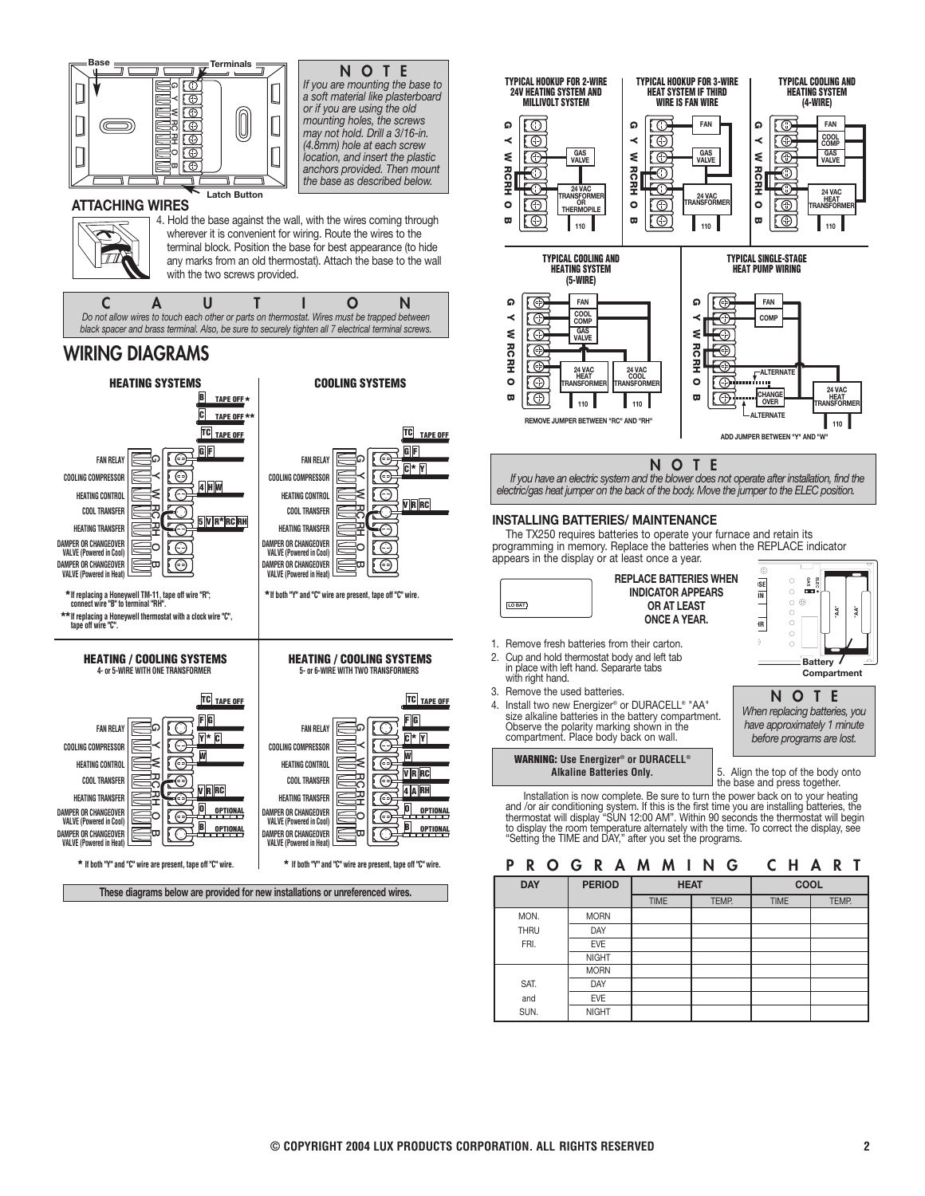

| © COPYRIGHT 2004 LUX PRODUCTS CORPORATION. ALL RIGHTS RESERVED |  |
|----------------------------------------------------------------|--|

**MORN** 

SAT. DAY and EVE SUN. NIGHT